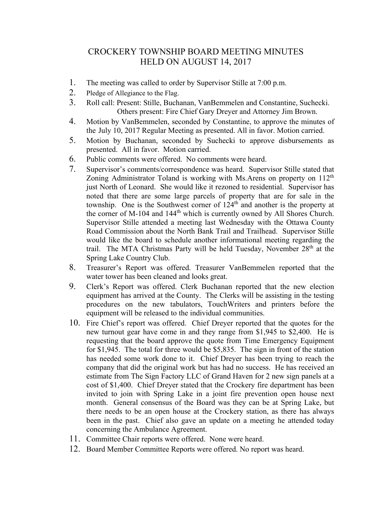## CROCKERY TOWNSHIP BOARD MEETING MINUTES HELD ON AUGUST 14, 2017

- 1. The meeting was called to order by Supervisor Stille at 7:00 p.m.
- 2. Pledge of Allegiance to the Flag.
- 3. Roll call: Present: Stille, Buchanan, VanBemmelen and Constantine, Suchecki. Others present: Fire Chief Gary Dreyer and Attorney Jim Brown.
- 4. Motion by VanBemmelen, seconded by Constantine, to approve the minutes of the July 10, 2017 Regular Meeting as presented. All in favor. Motion carried.
- 5. Motion by Buchanan, seconded by Suchecki to approve disbursements as presented. All in favor. Motion carried.
- 6. Public comments were offered. No comments were heard.
- 7. Supervisor's comments/correspondence was heard. Supervisor Stille stated that Zoning Administrator Toland is working with Ms. Arens on property on 112<sup>th</sup> just North of Leonard. She would like it rezoned to residential. Supervisor has noted that there are some large parcels of property that are for sale in the township. One is the Southwest corner of  $124<sup>th</sup>$  and another is the property at the corner of M-104 and 144<sup>th</sup> which is currently owned by All Shores Church. Supervisor Stille attended a meeting last Wednesday with the Ottawa County Road Commission about the North Bank Trail and Trailhead. Supervisor Stille would like the board to schedule another informational meeting regarding the trail. The MTA Christmas Party will be held Tuesday, November  $28<sup>th</sup>$  at the Spring Lake Country Club.
- 8. Treasurer's Report was offered. Treasurer VanBemmelen reported that the water tower has been cleaned and looks great.
- 9. Clerk's Report was offered. Clerk Buchanan reported that the new election equipment has arrived at the County. The Clerks will be assisting in the testing procedures on the new tabulators, TouchWriters and printers before the equipment will be released to the individual communities.
- 10. Fire Chief's report was offered. Chief Dreyer reported that the quotes for the new turnout gear have come in and they range from \$1,945 to \$2,400. He is requesting that the board approve the quote from Time Emergency Equipment for \$1,945. The total for three would be \$5,835. The sign in front of the station has needed some work done to it. Chief Dreyer has been trying to reach the company that did the original work but has had no success. He has received an estimate from The Sign Factory LLC of Grand Haven for 2 new sign panels at a cost of \$1,400. Chief Dreyer stated that the Crockery fire department has been invited to join with Spring Lake in a joint fire prevention open house next month. General consensus of the Board was they can be at Spring Lake, but there needs to be an open house at the Crockery station, as there has always been in the past. Chief also gave an update on a meeting he attended today concerning the Ambulance Agreement.
- 11. Committee Chair reports were offered. None were heard.
- 12. Board Member Committee Reports were offered. No report was heard.